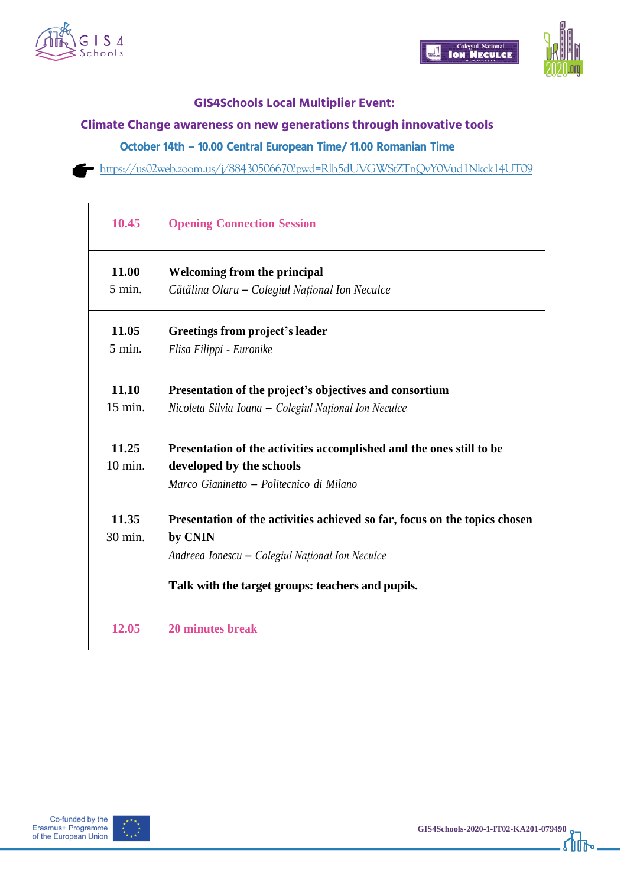





## **GIS4Schools Local Multiplier Event:**

## **Climate Change awareness on new generations through innovative tools**

**October 14th – 10.00 Central European Time/ 11.00 Romanian Time**

<https://us02web.zoom.us/j/88430506670?pwd=Rlh5dUVGWStZTnQvY0Vud1Nkck14UT09>

| 10.45              | <b>Opening Connection Session</b>                                                                                                                                                             |
|--------------------|-----------------------------------------------------------------------------------------------------------------------------------------------------------------------------------------------|
| 11.00<br>$5$ min.  | Welcoming from the principal<br>Cătălina Olaru – Colegiul Național Ion Neculce                                                                                                                |
| 11.05<br>$5$ min.  | Greetings from project's leader<br>Elisa Filippi - Euronike                                                                                                                                   |
| 11.10<br>15 min.   | Presentation of the project's objectives and consortium<br>Nicoleta Silvia Ioana – Colegiul Național Ion Neculce                                                                              |
| 11.25<br>$10$ min. | Presentation of the activities accomplished and the ones still to be<br>developed by the schools<br>Marco Gianinetto - Politecnico di Milano                                                  |
| 11.35<br>30 min.   | Presentation of the activities achieved so far, focus on the topics chosen<br>by CNIN<br>Andreea Ionescu – Colegiul Național Ion Neculce<br>Talk with the target groups: teachers and pupils. |
| 12.05              | 20 minutes break                                                                                                                                                                              |



℩ℼ